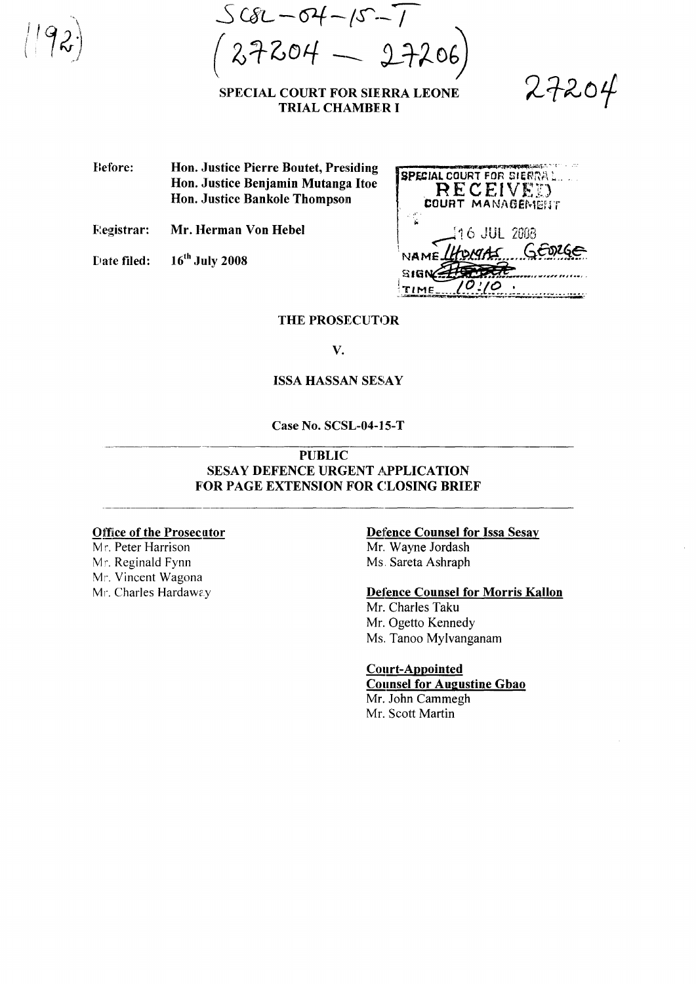$SCR - 04 - 15 - 7$  $($  27204  $-$  27206)

## SPECIAL COURT FOR SIERRA LEONE TRIAL CHAMBER I

 $27204$ 

.-. 'lQ.,~~i...,":, .. ·t·

Before: Hon. Justice Pierre Boutet, Presiding Hon. Justice Benjamin Mutanga Itoe Hon. Justice Bankole Thompson

j;~egistrar: Mr. Herman Von Hebel

Date filed:  $16^{th}$  July 2008

| <b>SPECIAL COURT FOR SIERRAL.</b><br>RECEIVED<br><b>COURT MANAGEMENT</b> |
|--------------------------------------------------------------------------|
| 116 JUL 2008                                                             |
| NAMELHOMAS GEORGE<br>SHGM                                                |
|                                                                          |

THE PROSECUTOR

V.

### ISSA HASSAN SESAY

Case No. SCSL-04-15-T

# PUBLIC SESAY DEFENCE URGENT APPLICATION FOR PAGE EXTENSION FOR CLOSING BRIEF

### Office of the Prosecutor

Mr. Peter Harrison Mr. Reginald Fynn Mr. Vincent Wagona Mr. Charles Hardaway

### Defence Counsel for Issa Sesay

Mr. Wayne Jordash Ms. Sareta Ashraph

## Defence Counsel for Morris Kallon

Mr. Charles Taku Mr. Ogetto Kennedy Ms. Tanoo Mylvanganam

# Court-Appointed

Counsel for Augustine Gbao Mr. John Cammegh Mr. Scott Martin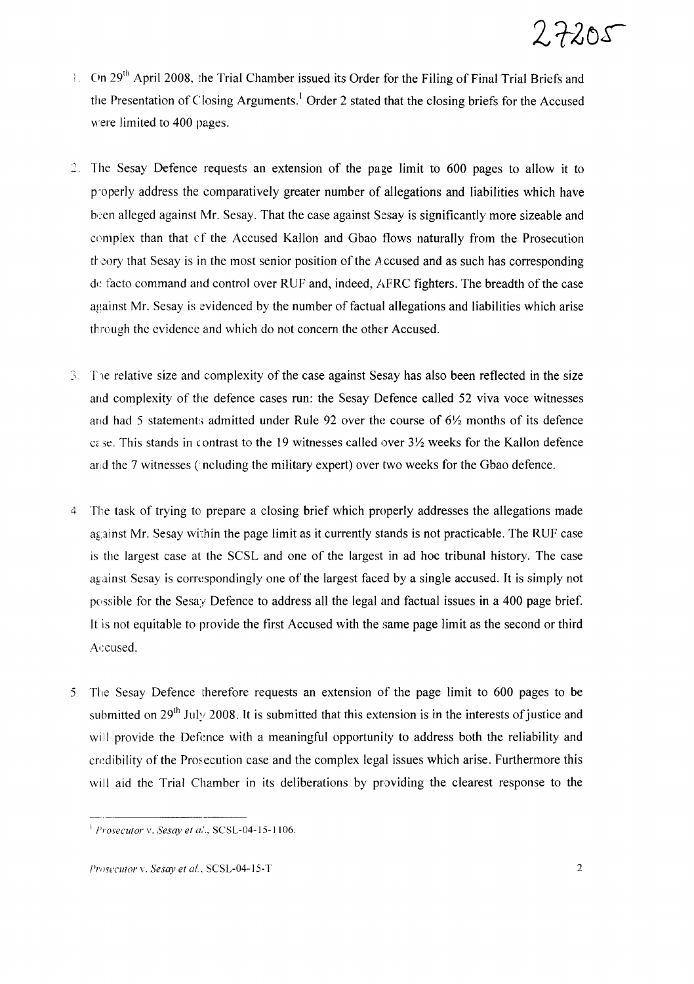

- $\blacksquare$  On 29<sup>th</sup> April 2008, the Trial Chamber issued its Order for the Filing of Final Trial Briefs and the Presentation of Closing Arguments.<sup>1</sup> Order 2 stated that the closing briefs for the Accused were limited to 400 pages.
- The Sesay Defence requests an extension of the page limit to 600 pages to allow it to p'operly address the comparatively greater number of allegations and liabilities which have been alleged against Mr. Sesay. That the case against Sesay is significantly more sizeable and complex than that cf the Accused Kallon and Gbao flows naturally from the Prosecution the the set of that Sesay is in the most senior position of the Accused and as such has corresponding de facto command and control over RUF and, indeed, AFRC fighters. The breadth of the case against Mr. Sesay is evidenced by the number offactual allegations and liabilities which arise through the evidence and which do not concern the other Accused.
- 3. The relative size and complexity of the case against Sesay has also been reflected in the size and complexity of the defence cases run: the Sesay Defence called 52 viva voce witnesses and had 5 statements admitted under Rule 92 over the course of  $6\frac{1}{2}$  months of its defence c<sub>c</sub> se. This stands in contrast to the 19 witnesses called over 3<sup>1</sup>/<sub>2</sub> weeks for the Kallon defence and the 7 witnesses (including the military expert) over two weeks for the Gbao defence.
- 4 The task of trying to prepare a closing brief which properly addresses the allegations made against Mr. Sesay within the page limit as it currently stands is not practicable. The RUF case is the largest case at the SCSL and one of the largest in ad hoc tribunal history. The case against Sesay is correspondingly one of the largest faced by a single accused. It is simply not possible for the Sesay Defence to address all the legal and factual issues in a 400 page brief. It is not equitable to provide the first Accused with the same page limit as the second or third Accused.
- 5 The Sesay Defence therefore requests an extension of the page limit to 600 pages to be submitted on  $29<sup>th</sup>$  July 2008. It is submitted that this extension is in the interests of justice and will provide the Defence with a meaningful opportunity to address both the reliability and credibility of the Prosecution case and the complex legal issues which arise. Furthermore this will aid the Trial Chamber in its deliberations by providing the clearest response to the

<sup>I</sup> *Prosecutor* v, *Sesay et a.'..* SCSL-04-15-1106,